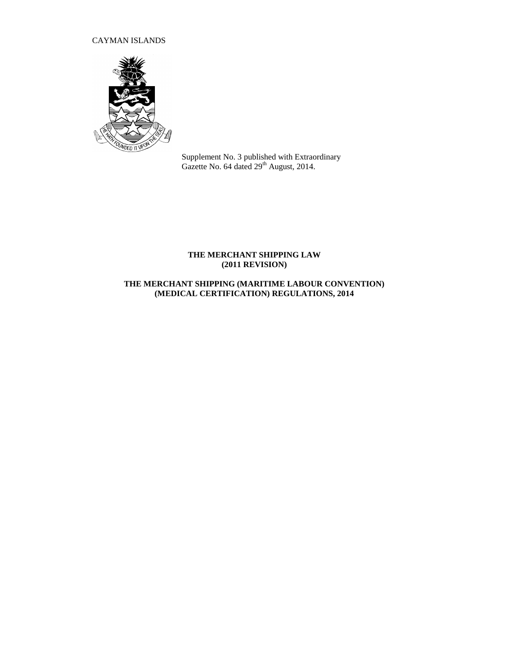# CAYMAN ISLANDS



Supplement No. 3 published with Extraordinary Gazette No. 64 dated  $29<sup>th</sup>$  August, 2014.

## **THE MERCHANT SHIPPING LAW (2011 REVISION)**

# **THE MERCHANT SHIPPING (MARITIME LABOUR CONVENTION) (MEDICAL CERTIFICATION) REGULATIONS, 2014**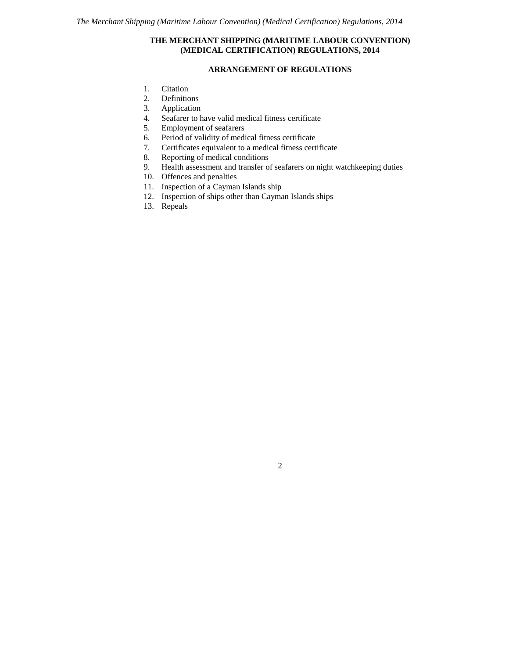## **THE MERCHANT SHIPPING (MARITIME LABOUR CONVENTION) (MEDICAL CERTIFICATION) REGULATIONS, 2014**

## **ARRANGEMENT OF REGULATIONS**

- 1. Citation
- 2. Definitions
- 
- 3. Application<br>4. Seafarer to h<br>5. Employment Seafarer to have valid medical fitness certificate
- 5. Employment of seafarers
- 6. Period of validity of medical fitness certificate
- 7. Certificates equivalent to a medical fitness certificate
- 8. Reporting of medical conditions<br>9. Health assessment and transfer of
- Health assessment and transfer of seafarers on night watchkeeping duties
- 10. Offences and penalties
- 11. Inspection of a Cayman Islands ship
- 12. Inspection of ships other than Cayman Islands ships
- 13. Repeals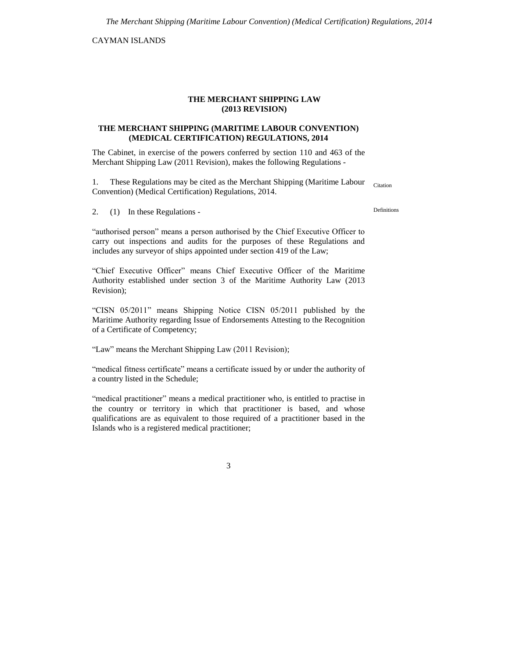CAYMAN ISLANDS

### **THE MERCHANT SHIPPING LAW (2013 REVISION)**

### **THE MERCHANT SHIPPING (MARITIME LABOUR CONVENTION) (MEDICAL CERTIFICATION) REGULATIONS, 2014**

The Cabinet, in exercise of the powers conferred by section 110 and 463 of the Merchant Shipping Law (2011 Revision), makes the following Regulations -

1. These Regulations may be cited as the Merchant Shipping (Maritime Labour Convention) (Medical Certification) Regulations, 2014. Citation

2. (1) In these Regulations -

"authorised person" means a person authorised by the Chief Executive Officer to carry out inspections and audits for the purposes of these Regulations and includes any surveyor of ships appointed under section 419 of the Law;

"Chief Executive Officer" means Chief Executive Officer of the Maritime Authority established under section 3 of the Maritime Authority Law (2013 Revision);

"CISN 05/2011" means Shipping Notice CISN 05/2011 published by the Maritime Authority regarding Issue of Endorsements Attesting to the Recognition of a Certificate of Competency;

"Law" means the Merchant Shipping Law (2011 Revision);

"medical fitness certificate" means a certificate issued by or under the authority of a country listed in the Schedule;

"medical practitioner" means a medical practitioner who, is entitled to practise in the country or territory in which that practitioner is based, and whose qualifications are as equivalent to those required of a practitioner based in the Islands who is a registered medical practitioner;

3

Definitions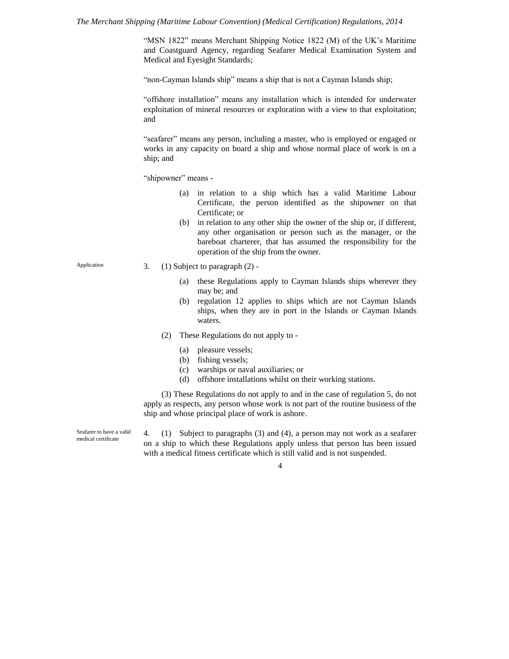"MSN 1822" means Merchant Shipping Notice 1822 (M) of the UK's Maritime and Coastguard Agency, regarding Seafarer Medical Examination System and Medical and Eyesight Standards;

"non-Cayman Islands ship" means a ship that is not a Cayman Islands ship;

"offshore installation" means any installation which is intended for underwater exploitation of mineral resources or exploration with a view to that exploitation; and

"seafarer" means any person, including a master, who is employed or engaged or works in any capacity on board a ship and whose normal place of work is on a ship; and

"shipowner" means -

- (a) in relation to a ship which has a valid Maritime Labour Certificate, the person identified as the shipowner on that Certificate; or
- (b) in relation to any other ship the owner of the ship or, if different, any other organisation or person such as the manager, or the bareboat charterer, that has assumed the responsibility for the operation of the ship from the owner.
- 3. (1) Subject to paragraph (2)
	- (a) these Regulations apply to Cayman Islands ships wherever they may be; and
	- (b) regulation 12 applies to ships which are not Cayman Islands ships, when they are in port in the Islands or Cayman Islands waters.
	- (2) These Regulations do not apply to
		- (a) pleasure vessels;
		- (b) fishing vessels;
		- (c) warships or naval auxiliaries; or
		- (d) offshore installations whilst on their working stations.

(3) These Regulations do not apply to and in the case of regulation 5, do not apply as respects, any person whose work is not part of the routine business of the ship and whose principal place of work is ashore.

Seafarer to have a valid medical certificate

4. (1) Subject to paragraphs (3) and (4), a person may not work as a seafarer on a ship to which these Regulations apply unless that person has been issued with a medical fitness certificate which is still valid and is not suspended.

4

Application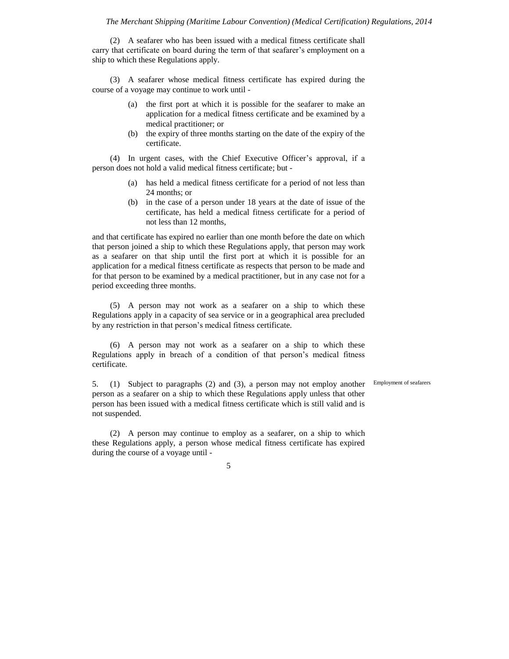(2) A seafarer who has been issued with a medical fitness certificate shall carry that certificate on board during the term of that seafarer's employment on a ship to which these Regulations apply.

(3) A seafarer whose medical fitness certificate has expired during the course of a voyage may continue to work until -

- (a) the first port at which it is possible for the seafarer to make an application for a medical fitness certificate and be examined by a medical practitioner; or
- (b) the expiry of three months starting on the date of the expiry of the certificate.

(4) In urgent cases, with the Chief Executive Officer's approval, if a person does not hold a valid medical fitness certificate; but -

- (a) has held a medical fitness certificate for a period of not less than 24 months; or
- (b) in the case of a person under 18 years at the date of issue of the certificate, has held a medical fitness certificate for a period of not less than 12 months,

and that certificate has expired no earlier than one month before the date on which that person joined a ship to which these Regulations apply, that person may work as a seafarer on that ship until the first port at which it is possible for an application for a medical fitness certificate as respects that person to be made and for that person to be examined by a medical practitioner, but in any case not for a period exceeding three months.

(5) A person may not work as a seafarer on a ship to which these Regulations apply in a capacity of sea service or in a geographical area precluded by any restriction in that person's medical fitness certificate.

(6) A person may not work as a seafarer on a ship to which these Regulations apply in breach of a condition of that person's medical fitness certificate.

5. (1) Subject to paragraphs (2) and (3), a person may not employ another Employment of seafarersperson as a seafarer on a ship to which these Regulations apply unless that other person has been issued with a medical fitness certificate which is still valid and is not suspended.

(2) A person may continue to employ as a seafarer, on a ship to which these Regulations apply, a person whose medical fitness certificate has expired during the course of a voyage until -

5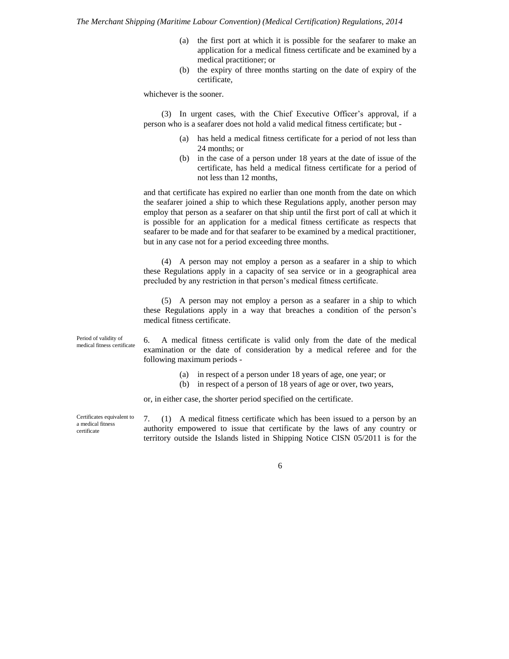- (a) the first port at which it is possible for the seafarer to make an application for a medical fitness certificate and be examined by a medical practitioner; or
- (b) the expiry of three months starting on the date of expiry of the certificate,

whichever is the sooner.

(3) In urgent cases, with the Chief Executive Officer's approval, if a person who is a seafarer does not hold a valid medical fitness certificate; but -

- (a) has held a medical fitness certificate for a period of not less than 24 months; or
- (b) in the case of a person under 18 years at the date of issue of the certificate, has held a medical fitness certificate for a period of not less than 12 months,

and that certificate has expired no earlier than one month from the date on which the seafarer joined a ship to which these Regulations apply, another person may employ that person as a seafarer on that ship until the first port of call at which it is possible for an application for a medical fitness certificate as respects that seafarer to be made and for that seafarer to be examined by a medical practitioner, but in any case not for a period exceeding three months.

(4) A person may not employ a person as a seafarer in a ship to which these Regulations apply in a capacity of sea service or in a geographical area precluded by any restriction in that person's medical fitness certificate.

(5) A person may not employ a person as a seafarer in a ship to which these Regulations apply in a way that breaches a condition of the person's medical fitness certificate.

Period of validity of medical fitness certificate

6. A medical fitness certificate is valid only from the date of the medical examination or the date of consideration by a medical referee and for the following maximum periods -

- (a) in respect of a person under 18 years of age, one year; or
- (b) in respect of a person of 18 years of age or over, two years,

or, in either case, the shorter period specified on the certificate.

Certificates equivalent to a medical fitness certificate

7. (1) A medical fitness certificate which has been issued to a person by an authority empowered to issue that certificate by the laws of any country or territory outside the Islands listed in Shipping Notice CISN 05/2011 is for the

6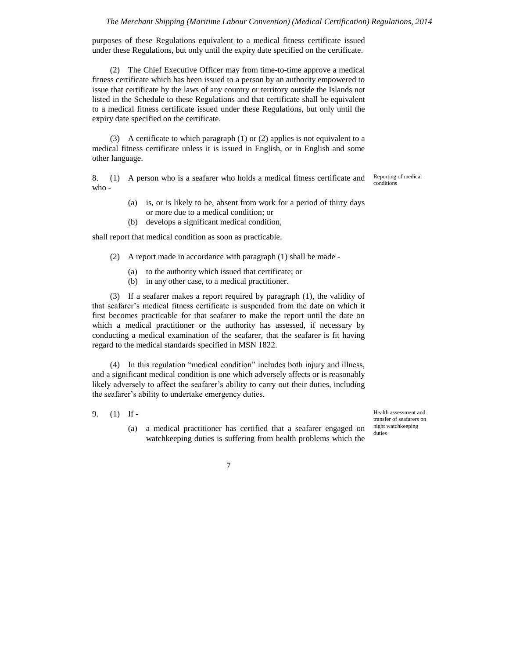purposes of these Regulations equivalent to a medical fitness certificate issued under these Regulations, but only until the expiry date specified on the certificate.

(2) The Chief Executive Officer may from time-to-time approve a medical fitness certificate which has been issued to a person by an authority empowered to issue that certificate by the laws of any country or territory outside the Islands not listed in the Schedule to these Regulations and that certificate shall be equivalent to a medical fitness certificate issued under these Regulations, but only until the expiry date specified on the certificate.

(3) A certificate to which paragraph (1) or (2) applies is not equivalent to a medical fitness certificate unless it is issued in English, or in English and some other language.

8. (1) A person who is a seafarer who holds a medical fitness certificate and  $who -$ 

- (a) is, or is likely to be, absent from work for a period of thirty days or more due to a medical condition; or
- (b) develops a significant medical condition,

shall report that medical condition as soon as practicable.

- (2) A report made in accordance with paragraph (1) shall be made
	- (a) to the authority which issued that certificate; or
	- (b) in any other case, to a medical practitioner.

(3) If a seafarer makes a report required by paragraph (1), the validity of that seafarer's medical fitness certificate is suspended from the date on which it first becomes practicable for that seafarer to make the report until the date on which a medical practitioner or the authority has assessed, if necessary by conducting a medical examination of the seafarer, that the seafarer is fit having regard to the medical standards specified in MSN 1822.

(4) In this regulation "medical condition" includes both injury and illness, and a significant medical condition is one which adversely affects or is reasonably likely adversely to affect the seafarer's ability to carry out their duties, including the seafarer's ability to undertake emergency duties.

- 9. (1) If
	- (a) a medical practitioner has certified that a seafarer engaged on watchkeeping duties is suffering from health problems which the

Health assessment and transfer of seafarers on night watchkeeping duties

7

Reporting of medical conditions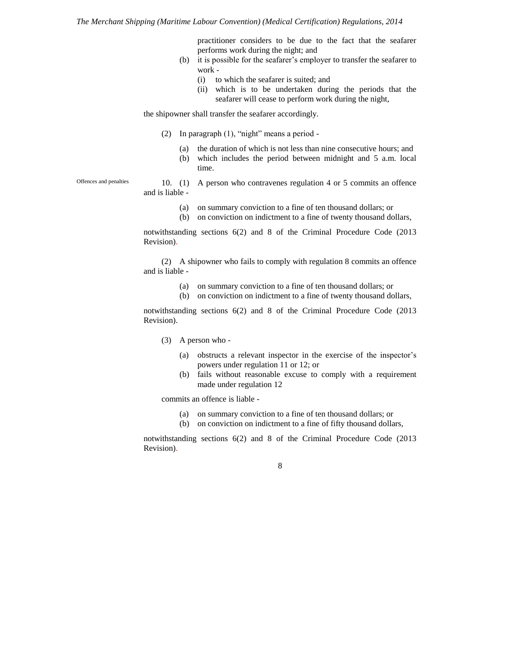practitioner considers to be due to the fact that the seafarer performs work during the night; and

- (b) it is possible for the seafarer's employer to transfer the seafarer to work -
	- (i) to which the seafarer is suited; and
	- (ii) which is to be undertaken during the periods that the seafarer will cease to perform work during the night,

the shipowner shall transfer the seafarer accordingly.

- (2) In paragraph (1), "night" means a period
	- (a) the duration of which is not less than nine consecutive hours; and
	- (b) which includes the period between midnight and 5 a.m. local time.

Offences and penalties

- 10. (1) A person who contravenes regulation 4 or 5 commits an offence and is liable -
	- (a) on summary conviction to a fine of ten thousand dollars; or
	- (b) on conviction on indictment to a fine of twenty thousand dollars,

notwithstanding sections 6(2) and 8 of the Criminal Procedure Code (2013 Revision).

(2) A shipowner who fails to comply with regulation 8 commits an offence and is liable -

- (a) on summary conviction to a fine of ten thousand dollars; or
- (b) on conviction on indictment to a fine of twenty thousand dollars,

notwithstanding sections 6(2) and 8 of the Criminal Procedure Code (2013 Revision).

(3) A person who -

- (a) obstructs a relevant inspector in the exercise of the inspector's powers under regulation 11 or 12; or
- (b) fails without reasonable excuse to comply with a requirement made under regulation 12

commits an offence is liable -

- (a) on summary conviction to a fine of ten thousand dollars; or
- (b) on conviction on indictment to a fine of fifty thousand dollars,

notwithstanding sections 6(2) and 8 of the Criminal Procedure Code (2013 Revision).

8